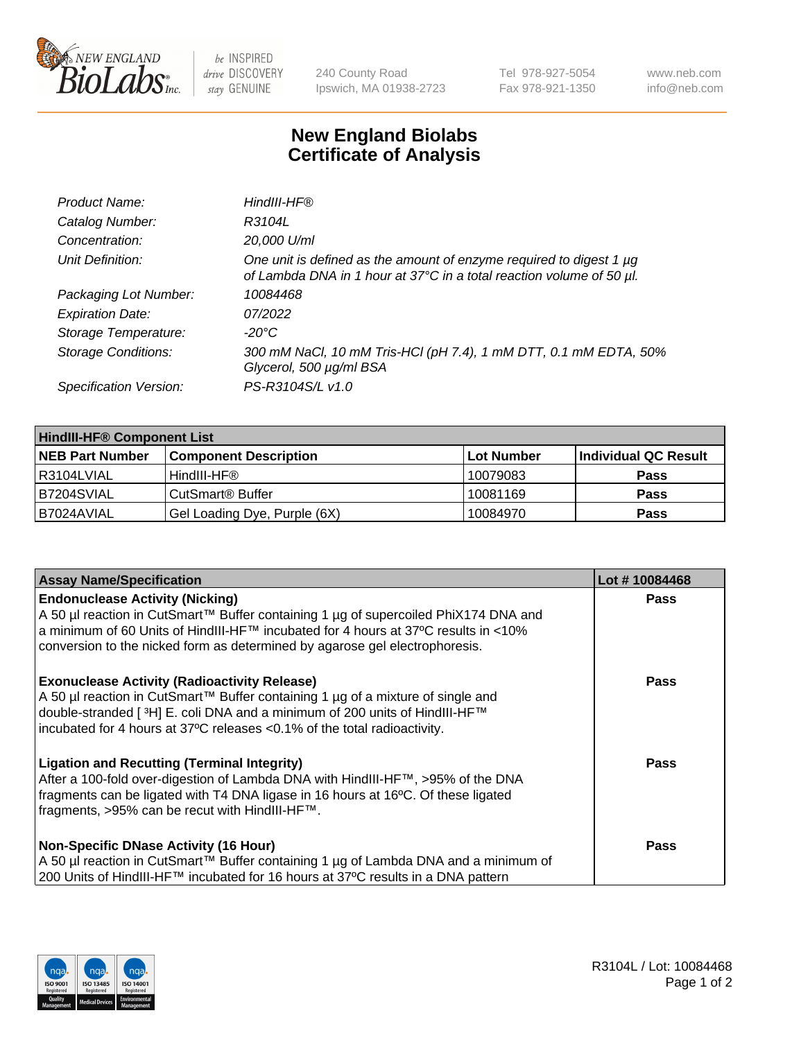

be INSPIRED drive DISCOVERY stay GENUINE

240 County Road Ipswich, MA 01938-2723 Tel 978-927-5054 Fax 978-921-1350 www.neb.com info@neb.com

## **New England Biolabs Certificate of Analysis**

| Product Name:              | HindIII-HF®                                                                                                                                 |
|----------------------------|---------------------------------------------------------------------------------------------------------------------------------------------|
| Catalog Number:            | R3104L                                                                                                                                      |
| Concentration:             | 20,000 U/ml                                                                                                                                 |
| Unit Definition:           | One unit is defined as the amount of enzyme required to digest 1 µg<br>of Lambda DNA in 1 hour at 37°C in a total reaction volume of 50 µl. |
| Packaging Lot Number:      | 10084468                                                                                                                                    |
| <b>Expiration Date:</b>    | 07/2022                                                                                                                                     |
| Storage Temperature:       | $-20^{\circ}$ C                                                                                                                             |
| <b>Storage Conditions:</b> | 300 mM NaCl, 10 mM Tris-HCl (pH 7.4), 1 mM DTT, 0.1 mM EDTA, 50%<br>Glycerol, 500 µg/ml BSA                                                 |
| Specification Version:     | PS-R3104S/L v1.0                                                                                                                            |

| <b>HindIII-HF® Component List</b> |                                    |                   |                      |  |  |
|-----------------------------------|------------------------------------|-------------------|----------------------|--|--|
| <b>NEB Part Number</b>            | <b>Component Description</b>       | <b>Lot Number</b> | Individual QC Result |  |  |
| I R3104LVIAL                      | HindIII-HF®                        | 10079083          | <b>Pass</b>          |  |  |
| B7204SVIAL                        | <b>CutSmart<sup>®</sup> Buffer</b> | 10081169          | <b>Pass</b>          |  |  |
| B7024AVIAL                        | Gel Loading Dye, Purple (6X)       | 10084970          | <b>Pass</b>          |  |  |

| <b>Assay Name/Specification</b>                                                                                                                                                                                                                                                                                 | Lot #10084468 |
|-----------------------------------------------------------------------------------------------------------------------------------------------------------------------------------------------------------------------------------------------------------------------------------------------------------------|---------------|
| <b>Endonuclease Activity (Nicking)</b><br>  A 50 µl reaction in CutSmart™ Buffer containing 1 µg of supercoiled PhiX174 DNA and                                                                                                                                                                                 | <b>Pass</b>   |
| a minimum of 60 Units of HindIII-HF™ incubated for 4 hours at 37ºC results in <10%<br>conversion to the nicked form as determined by agarose gel electrophoresis.                                                                                                                                               |               |
| <b>Exonuclease Activity (Radioactivity Release)</b><br>  A 50 µl reaction in CutSmart™ Buffer containing 1 µg of a mixture of single and<br>double-stranded [ <sup>3</sup> H] E. coli DNA and a minimum of 200 units of HindIII-HF™<br>incubated for 4 hours at 37°C releases <0.1% of the total radioactivity. | <b>Pass</b>   |
| <b>Ligation and Recutting (Terminal Integrity)</b><br>After a 100-fold over-digestion of Lambda DNA with HindIII-HF™, >95% of the DNA<br>fragments can be ligated with T4 DNA ligase in 16 hours at 16°C. Of these ligated<br>fragments, >95% can be recut with HindIII-HF™.                                    | Pass          |
| <b>Non-Specific DNase Activity (16 Hour)</b>                                                                                                                                                                                                                                                                    | <b>Pass</b>   |
| A 50 µl reaction in CutSmart™ Buffer containing 1 µg of Lambda DNA and a minimum of<br>200 Units of HindIII-HF™ incubated for 16 hours at 37°C results in a DNA pattern                                                                                                                                         |               |